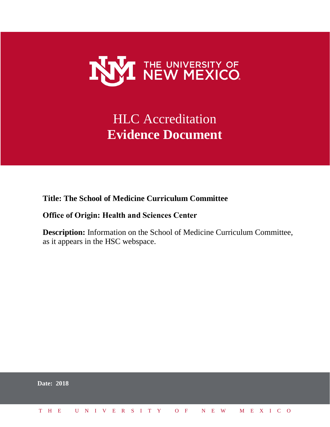

## HLC Accreditation **Evidence Document**

**Title: The School of Medicine Curriculum Committee**

#### **Office of Origin: Health and Sciences Center**

**Description:** Information on the School of Medicine Curriculum Committee, as it appears in the HSC webspace.

|  | <b>Date: 2018</b>            |  |  |  |  |  |  |  |  |  |  |  |  |  |
|--|------------------------------|--|--|--|--|--|--|--|--|--|--|--|--|--|
|  | THE UNIVERSITY OF NEW MEXICO |  |  |  |  |  |  |  |  |  |  |  |  |  |